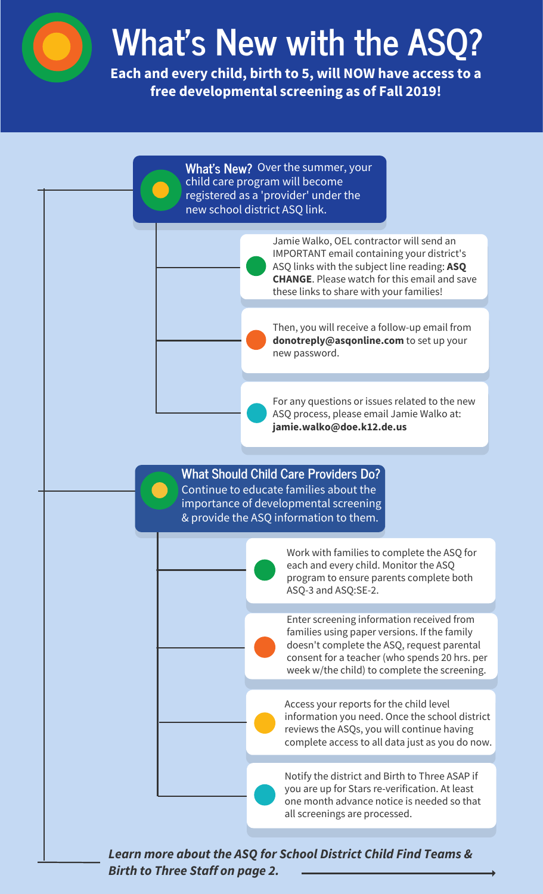

## **What's New with the ASO**

**Each and every child, birth to 5, will NOW have access to a free developmental screening as of Fall 2019!** 



*Birth to Three Staff on page 2.*